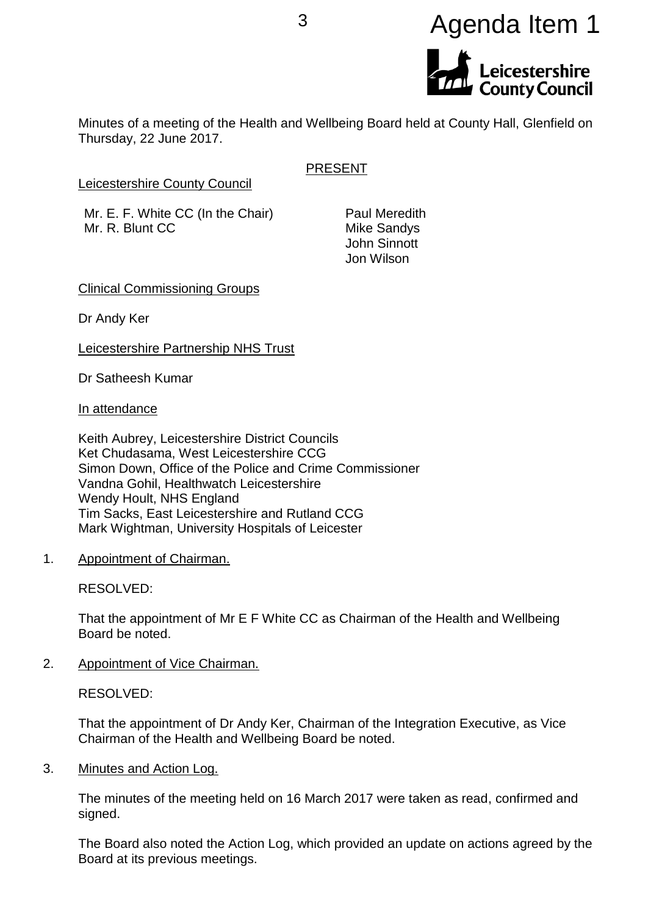

Minutes of a meeting of the Health and Wellbeing Board held at County Hall, Glenfield on Thursday, 22 June 2017.

# PRESENT

Leicestershire County Council

Mr. E. F. White CC (In the Chair) Mr. R. Blunt CC

Paul Meredith Mike Sandys John Sinnott Jon Wilson

### Clinical Commissioning Groups

Dr Andy Ker

Leicestershire Partnership NHS Trust

Dr Satheesh Kumar

In attendance

Keith Aubrey, Leicestershire District Councils Ket Chudasama, West Leicestershire CCG Simon Down, Office of the Police and Crime Commissioner Vandna Gohil, Healthwatch Leicestershire Wendy Hoult, NHS England Tim Sacks, East Leicestershire and Rutland CCG Mark Wightman, University Hospitals of Leicester

1. Appointment of Chairman.

RESOLVED:

That the appointment of Mr E F White CC as Chairman of the Health and Wellbeing Board be noted.

2. Appointment of Vice Chairman.

RESOLVED:

That the appointment of Dr Andy Ker, Chairman of the Integration Executive, as Vice Chairman of the Health and Wellbeing Board be noted.

3. Minutes and Action Log.

The minutes of the meeting held on 16 March 2017 were taken as read, confirmed and signed.

The Board also noted the Action Log, which provided an update on actions agreed by the Board at its previous meetings.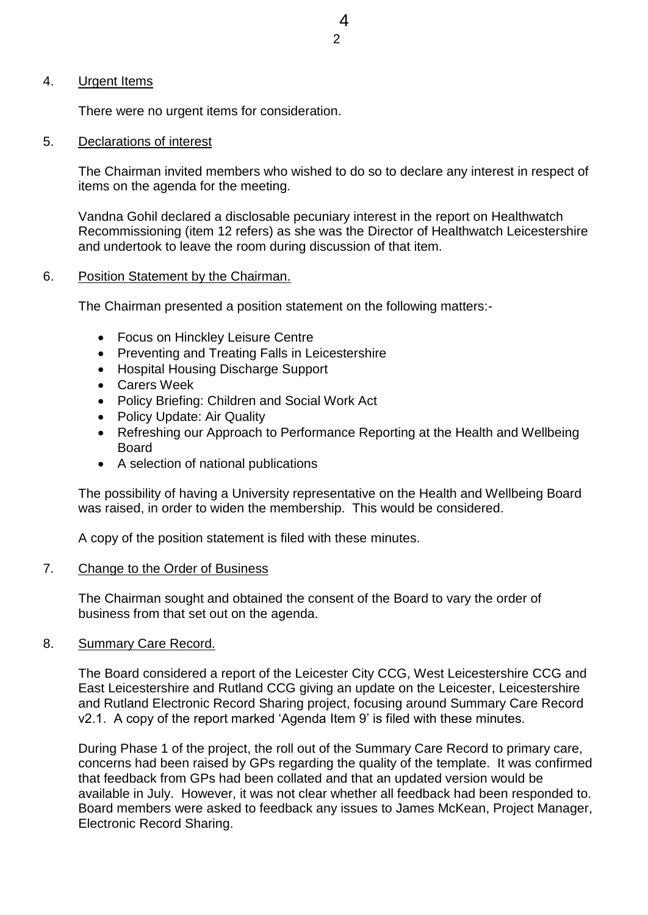# 4. Urgent Items

There were no urgent items for consideration.

# 5. Declarations of interest

The Chairman invited members who wished to do so to declare any interest in respect of items on the agenda for the meeting.

Vandna Gohil declared a disclosable pecuniary interest in the report on Healthwatch Recommissioning (item 12 refers) as she was the Director of Healthwatch Leicestershire and undertook to leave the room during discussion of that item.

# 6. Position Statement by the Chairman.

The Chairman presented a position statement on the following matters:-

- Focus on Hinckley Leisure Centre
- Preventing and Treating Falls in Leicestershire
- Hospital Housing Discharge Support
- Carers Week
- Policy Briefing: Children and Social Work Act
- Policy Update: Air Quality
- Refreshing our Approach to Performance Reporting at the Health and Wellbeing Board
- A selection of national publications

The possibility of having a University representative on the Health and Wellbeing Board was raised, in order to widen the membership. This would be considered.

A copy of the position statement is filed with these minutes.

# 7. Change to the Order of Business

The Chairman sought and obtained the consent of the Board to vary the order of business from that set out on the agenda.

# 8. Summary Care Record.

The Board considered a report of the Leicester City CCG, West Leicestershire CCG and East Leicestershire and Rutland CCG giving an update on the Leicester, Leicestershire and Rutland Electronic Record Sharing project, focusing around Summary Care Record v2.1. A copy of the report marked 'Agenda Item 9' is filed with these minutes.

During Phase 1 of the project, the roll out of the Summary Care Record to primary care, concerns had been raised by GPs regarding the quality of the template. It was confirmed that feedback from GPs had been collated and that an updated version would be available in July. However, it was not clear whether all feedback had been responded to. Board members were asked to feedback any issues to James McKean, Project Manager, Electronic Record Sharing.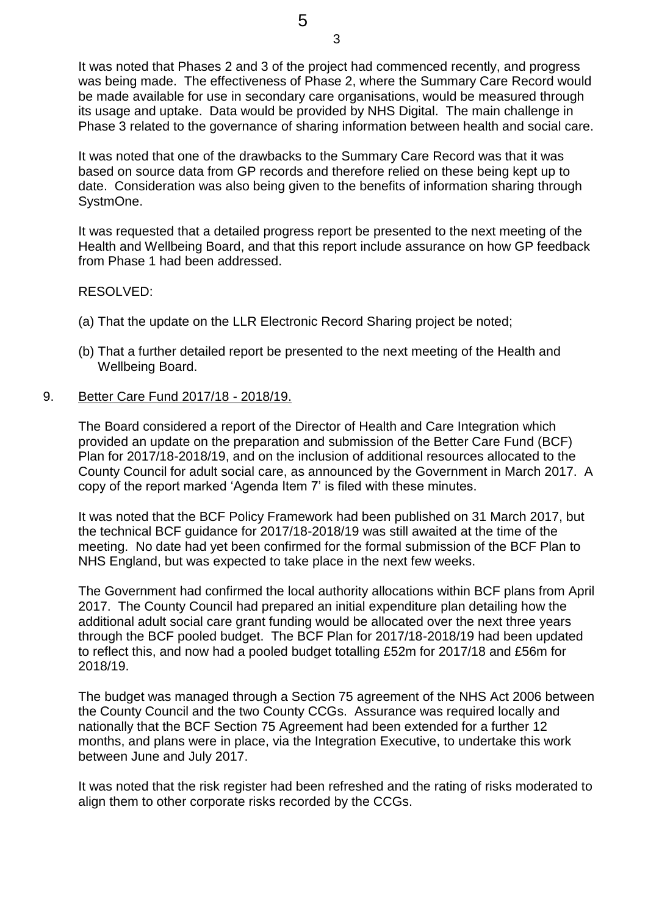It was noted that Phases 2 and 3 of the project had commenced recently, and progress was being made. The effectiveness of Phase 2, where the Summary Care Record would be made available for use in secondary care organisations, would be measured through its usage and uptake. Data would be provided by NHS Digital. The main challenge in Phase 3 related to the governance of sharing information between health and social care.

3

It was noted that one of the drawbacks to the Summary Care Record was that it was based on source data from GP records and therefore relied on these being kept up to date. Consideration was also being given to the benefits of information sharing through SystmOne.

It was requested that a detailed progress report be presented to the next meeting of the Health and Wellbeing Board, and that this report include assurance on how GP feedback from Phase 1 had been addressed.

#### RESOLVED:

- (a) That the update on the LLR Electronic Record Sharing project be noted;
- (b) That a further detailed report be presented to the next meeting of the Health and Wellbeing Board.

#### 9. Better Care Fund 2017/18 - 2018/19.

The Board considered a report of the Director of Health and Care Integration which provided an update on the preparation and submission of the Better Care Fund (BCF) Plan for 2017/18-2018/19, and on the inclusion of additional resources allocated to the County Council for adult social care, as announced by the Government in March 2017. A copy of the report marked 'Agenda Item 7' is filed with these minutes.

It was noted that the BCF Policy Framework had been published on 31 March 2017, but the technical BCF guidance for 2017/18-2018/19 was still awaited at the time of the meeting. No date had yet been confirmed for the formal submission of the BCF Plan to NHS England, but was expected to take place in the next few weeks.

The Government had confirmed the local authority allocations within BCF plans from April 2017. The County Council had prepared an initial expenditure plan detailing how the additional adult social care grant funding would be allocated over the next three years through the BCF pooled budget. The BCF Plan for 2017/18-2018/19 had been updated to reflect this, and now had a pooled budget totalling £52m for 2017/18 and £56m for 2018/19.

The budget was managed through a Section 75 agreement of the NHS Act 2006 between the County Council and the two County CCGs. Assurance was required locally and nationally that the BCF Section 75 Agreement had been extended for a further 12 months, and plans were in place, via the Integration Executive, to undertake this work between June and July 2017.

It was noted that the risk register had been refreshed and the rating of risks moderated to align them to other corporate risks recorded by the CCGs.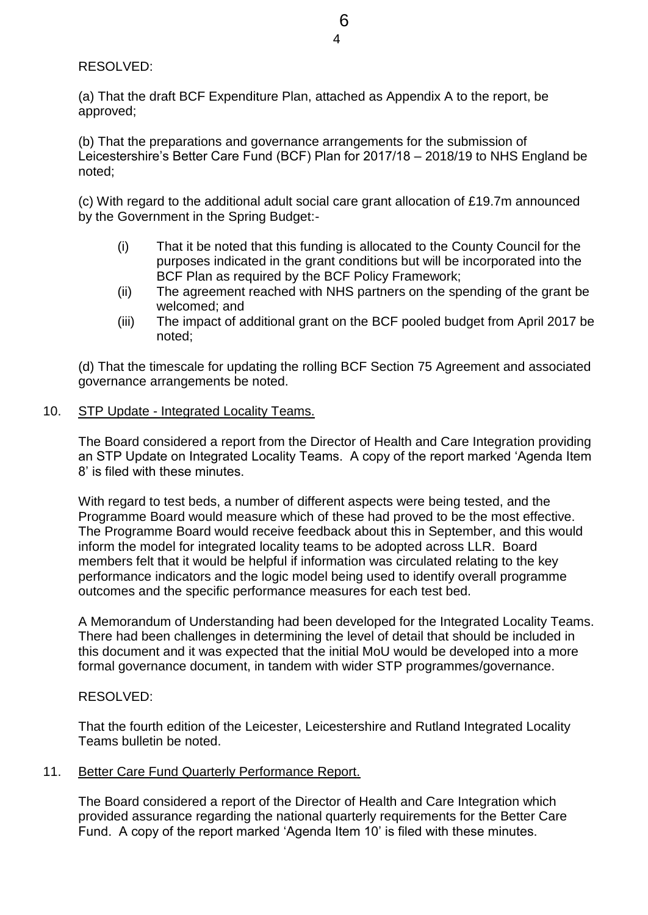RESOLVED:

(a) That the draft BCF Expenditure Plan, attached as Appendix A to the report, be approved;

(b) That the preparations and governance arrangements for the submission of Leicestershire's Better Care Fund (BCF) Plan for 2017/18 – 2018/19 to NHS England be noted;

(c) With regard to the additional adult social care grant allocation of £19.7m announced by the Government in the Spring Budget:-

- (i) That it be noted that this funding is allocated to the County Council for the purposes indicated in the grant conditions but will be incorporated into the BCF Plan as required by the BCF Policy Framework;
- (ii) The agreement reached with NHS partners on the spending of the grant be welcomed; and
- (iii) The impact of additional grant on the BCF pooled budget from April 2017 be noted;

(d) That the timescale for updating the rolling BCF Section 75 Agreement and associated governance arrangements be noted.

### 10. STP Update - Integrated Locality Teams.

The Board considered a report from the Director of Health and Care Integration providing an STP Update on Integrated Locality Teams. A copy of the report marked 'Agenda Item 8' is filed with these minutes.

With regard to test beds, a number of different aspects were being tested, and the Programme Board would measure which of these had proved to be the most effective. The Programme Board would receive feedback about this in September, and this would inform the model for integrated locality teams to be adopted across LLR. Board members felt that it would be helpful if information was circulated relating to the key performance indicators and the logic model being used to identify overall programme outcomes and the specific performance measures for each test bed.

A Memorandum of Understanding had been developed for the Integrated Locality Teams. There had been challenges in determining the level of detail that should be included in this document and it was expected that the initial MoU would be developed into a more formal governance document, in tandem with wider STP programmes/governance.

## RESOLVED:

That the fourth edition of the Leicester, Leicestershire and Rutland Integrated Locality Teams bulletin be noted.

## 11. Better Care Fund Quarterly Performance Report.

The Board considered a report of the Director of Health and Care Integration which provided assurance regarding the national quarterly requirements for the Better Care Fund. A copy of the report marked 'Agenda Item 10' is filed with these minutes.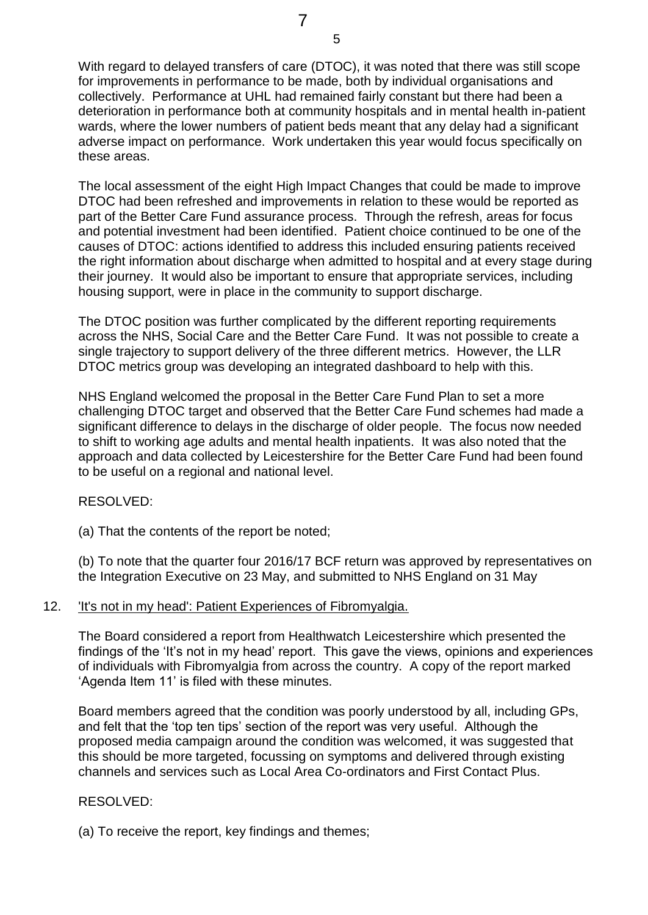With regard to delayed transfers of care (DTOC), it was noted that there was still scope for improvements in performance to be made, both by individual organisations and collectively. Performance at UHL had remained fairly constant but there had been a deterioration in performance both at community hospitals and in mental health in-patient wards, where the lower numbers of patient beds meant that any delay had a significant adverse impact on performance. Work undertaken this year would focus specifically on these areas.

5

The local assessment of the eight High Impact Changes that could be made to improve DTOC had been refreshed and improvements in relation to these would be reported as part of the Better Care Fund assurance process. Through the refresh, areas for focus and potential investment had been identified. Patient choice continued to be one of the causes of DTOC: actions identified to address this included ensuring patients received the right information about discharge when admitted to hospital and at every stage during their journey. It would also be important to ensure that appropriate services, including housing support, were in place in the community to support discharge.

The DTOC position was further complicated by the different reporting requirements across the NHS, Social Care and the Better Care Fund. It was not possible to create a single trajectory to support delivery of the three different metrics. However, the LLR DTOC metrics group was developing an integrated dashboard to help with this.

NHS England welcomed the proposal in the Better Care Fund Plan to set a more challenging DTOC target and observed that the Better Care Fund schemes had made a significant difference to delays in the discharge of older people. The focus now needed to shift to working age adults and mental health inpatients. It was also noted that the approach and data collected by Leicestershire for the Better Care Fund had been found to be useful on a regional and national level.

RESOLVED:

(a) That the contents of the report be noted;

(b) To note that the quarter four 2016/17 BCF return was approved by representatives on the Integration Executive on 23 May, and submitted to NHS England on 31 May

## 12. 'It's not in my head': Patient Experiences of Fibromyalgia.

The Board considered a report from Healthwatch Leicestershire which presented the findings of the 'It's not in my head' report. This gave the views, opinions and experiences of individuals with Fibromyalgia from across the country. A copy of the report marked 'Agenda Item 11' is filed with these minutes.

Board members agreed that the condition was poorly understood by all, including GPs, and felt that the 'top ten tips' section of the report was very useful. Although the proposed media campaign around the condition was welcomed, it was suggested that this should be more targeted, focussing on symptoms and delivered through existing channels and services such as Local Area Co-ordinators and First Contact Plus.

## RESOLVED:

(a) To receive the report, key findings and themes;